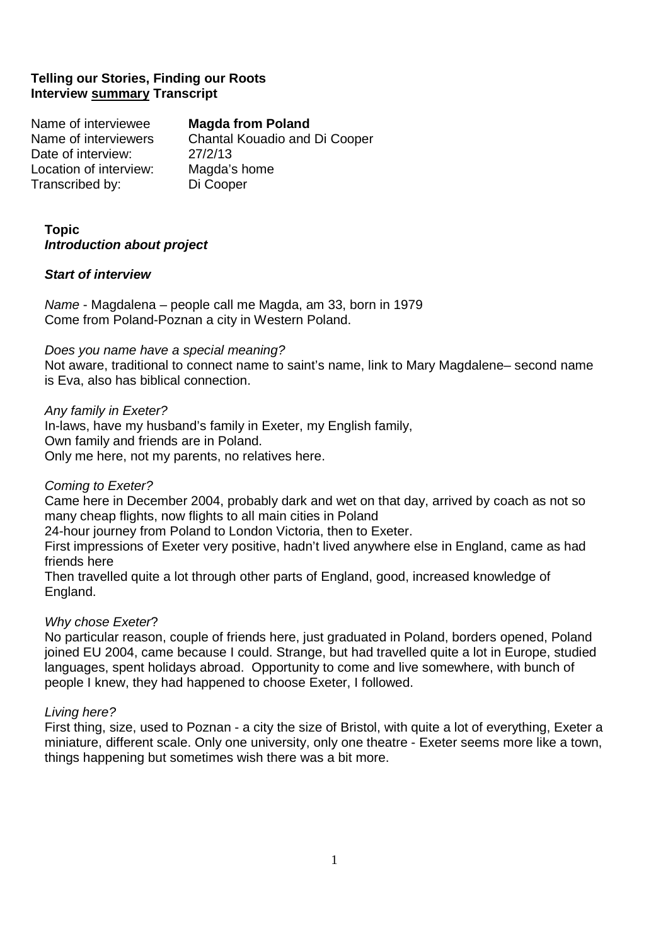# **Telling our Stories, Finding our Roots Interview summary Transcript**

Name of interviewee **Magda from Poland**  Name of interviewers Chantal Kouadio and Di Cooper Date of interview: 27/2/13 Location of interview: Magda's home Transcribed by: Di Cooper

# **Topic Introduction about project**

## **Start of interview**

Name - Magdalena – people call me Magda, am 33, born in 1979 Come from Poland-Poznan a city in Western Poland.

## Does you name have a special meaning?

Not aware, traditional to connect name to saint's name, link to Mary Magdalene– second name is Eva, also has biblical connection.

## Any family in Exeter?

In-laws, have my husband's family in Exeter, my English family, Own family and friends are in Poland. Only me here, not my parents, no relatives here.

# Coming to Exeter?

Came here in December 2004, probably dark and wet on that day, arrived by coach as not so many cheap flights, now flights to all main cities in Poland

24-hour journey from Poland to London Victoria, then to Exeter.

 First impressions of Exeter very positive, hadn't lived anywhere else in England, came as had friends here

 Then travelled quite a lot through other parts of England, good, increased knowledge of England.

# Why chose Exeter?

No particular reason, couple of friends here, just graduated in Poland, borders opened, Poland joined EU 2004, came because I could. Strange, but had travelled quite a lot in Europe, studied languages, spent holidays abroad. Opportunity to come and live somewhere, with bunch of people I knew, they had happened to choose Exeter, I followed.

## Living here?

First thing, size, used to Poznan - a city the size of Bristol, with quite a lot of everything, Exeter a miniature, different scale. Only one university, only one theatre - Exeter seems more like a town, things happening but sometimes wish there was a bit more.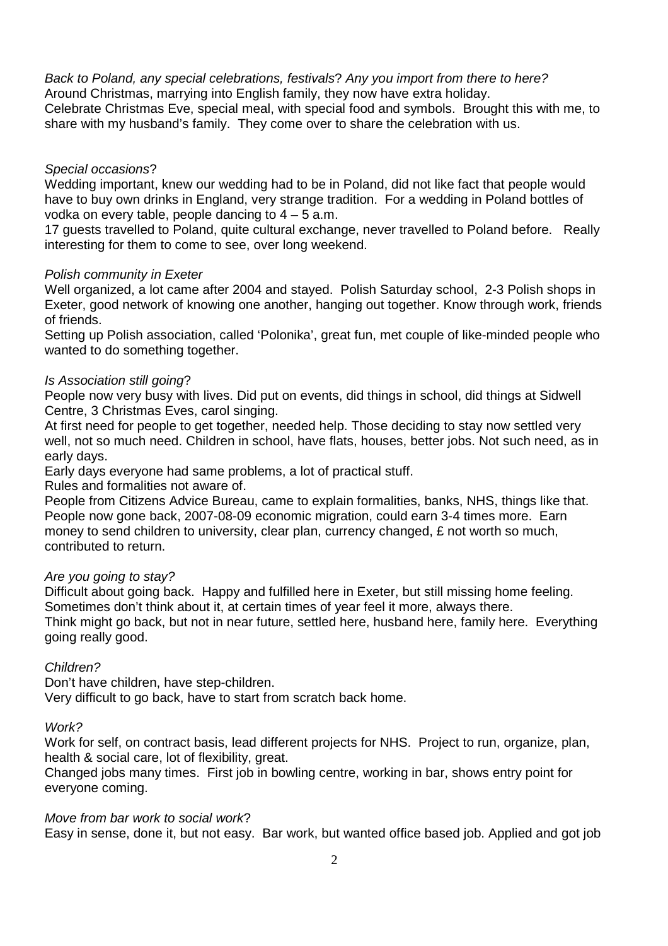Back to Poland, any special celebrations, festivals? Any you import from there to here? Around Christmas, marrying into English family, they now have extra holiday. Celebrate Christmas Eve, special meal, with special food and symbols. Brought this with me, to share with my husband's family. They come over to share the celebration with us.

#### Special occasions?

Wedding important, knew our wedding had to be in Poland, did not like fact that people would have to buy own drinks in England, very strange tradition. For a wedding in Poland bottles of vodka on every table, people dancing to  $4 - 5$  a.m.

 17 guests travelled to Poland, quite cultural exchange, never travelled to Poland before. Really interesting for them to come to see, over long weekend.

#### Polish community in Exeter

Well organized, a lot came after 2004 and stayed. Polish Saturday school, 2-3 Polish shops in Exeter, good network of knowing one another, hanging out together. Know through work, friends of friends.

 Setting up Polish association, called 'Polonika', great fun, met couple of like-minded people who wanted to do something together.

## Is Association still going?

People now very busy with lives. Did put on events, did things in school, did things at Sidwell Centre, 3 Christmas Eves, carol singing.

 At first need for people to get together, needed help. Those deciding to stay now settled very well, not so much need. Children in school, have flats, houses, better jobs. Not such need, as in early days.

Early days everyone had same problems, a lot of practical stuff.

Rules and formalities not aware of.

 People from Citizens Advice Bureau, came to explain formalities, banks, NHS, things like that. People now gone back, 2007-08-09 economic migration, could earn 3-4 times more. Earn money to send children to university, clear plan, currency changed, £ not worth so much, contributed to return.

## Are you going to stay?

Difficult about going back. Happy and fulfilled here in Exeter, but still missing home feeling. Sometimes don't think about it, at certain times of year feel it more, always there. Think might go back, but not in near future, settled here, husband here, family here. Everything going really good.

## Children?

 Don't have children, have step-children. Very difficult to go back, have to start from scratch back home.

#### Work?

Work for self, on contract basis, lead different projects for NHS. Project to run, organize, plan, health & social care, lot of flexibility, great.

 Changed jobs many times. First job in bowling centre, working in bar, shows entry point for everyone coming.

#### Move from bar work to social work?

Easy in sense, done it, but not easy. Bar work, but wanted office based job. Applied and got job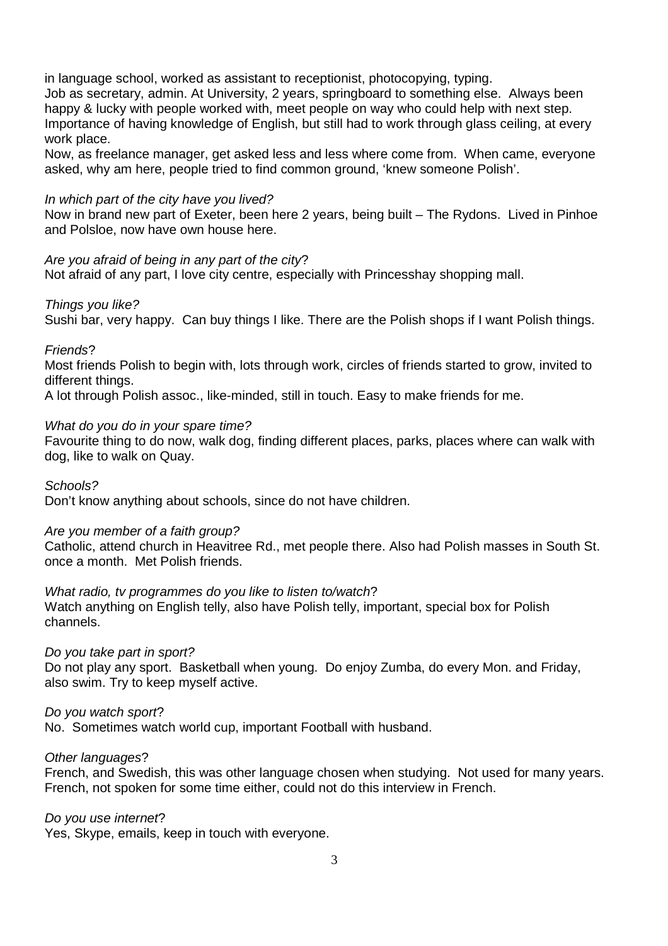in language school, worked as assistant to receptionist, photocopying, typing.

 Job as secretary, admin. At University, 2 years, springboard to something else. Always been happy & lucky with people worked with, meet people on way who could help with next step. Importance of having knowledge of English, but still had to work through glass ceiling, at every work place.

 Now, as freelance manager, get asked less and less where come from. When came, everyone asked, why am here, people tried to find common ground, 'knew someone Polish'.

## In which part of the city have you lived?

Now in brand new part of Exeter, been here 2 years, being built – The Rydons. Lived in Pinhoe and Polsloe, now have own house here.

## Are you afraid of being in any part of the city?

Not afraid of any part, I love city centre, especially with Princesshay shopping mall.

## Things you like?

Sushi bar, very happy. Can buy things I like. There are the Polish shops if I want Polish things.

## Friends?

Most friends Polish to begin with, lots through work, circles of friends started to grow, invited to different things.

A lot through Polish assoc., like-minded, still in touch. Easy to make friends for me.

## What do you do in your spare time?

Favourite thing to do now, walk dog, finding different places, parks, places where can walk with dog, like to walk on Quay.

Schools?

Don't know anything about schools, since do not have children.

## Are you member of a faith group?

Catholic, attend church in Heavitree Rd., met people there. Also had Polish masses in South St. once a month. Met Polish friends.

# What radio, tv programmes do you like to listen to/watch?

Watch anything on English telly, also have Polish telly, important, special box for Polish channels.

## Do you take part in sport?

Do not play any sport. Basketball when young. Do enjoy Zumba, do every Mon. and Friday, also swim. Try to keep myself active.

## Do you watch sport?

No. Sometimes watch world cup, important Football with husband.

## Other languages?

French, and Swedish, this was other language chosen when studying. Not used for many years. French, not spoken for some time either, could not do this interview in French.

## Do you use internet?

Yes, Skype, emails, keep in touch with everyone.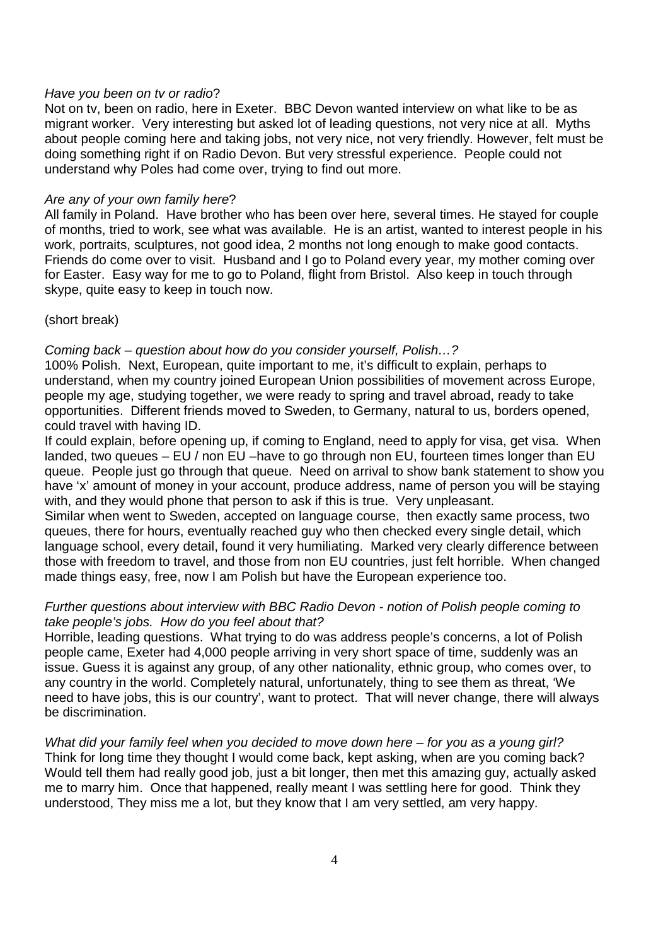#### Have you been on tv or radio?

Not on tv, been on radio, here in Exeter. BBC Devon wanted interview on what like to be as migrant worker. Very interesting but asked lot of leading questions, not very nice at all. Myths about people coming here and taking jobs, not very nice, not very friendly. However, felt must be doing something right if on Radio Devon. But very stressful experience. People could not understand why Poles had come over, trying to find out more.

#### Are any of your own family here?

All family in Poland. Have brother who has been over here, several times. He stayed for couple of months, tried to work, see what was available. He is an artist, wanted to interest people in his work, portraits, sculptures, not good idea, 2 months not long enough to make good contacts. Friends do come over to visit. Husband and I go to Poland every year, my mother coming over for Easter. Easy way for me to go to Poland, flight from Bristol. Also keep in touch through skype, quite easy to keep in touch now.

(short break)

## Coming back – question about how do you consider yourself, Polish…?

 100% Polish. Next, European, quite important to me, it's difficult to explain, perhaps to understand, when my country joined European Union possibilities of movement across Europe, people my age, studying together, we were ready to spring and travel abroad, ready to take opportunities. Different friends moved to Sweden, to Germany, natural to us, borders opened, could travel with having ID.

 If could explain, before opening up, if coming to England, need to apply for visa, get visa. When landed, two queues – EU / non EU –have to go through non EU, fourteen times longer than EU queue. People just go through that queue. Need on arrival to show bank statement to show you have 'x' amount of money in your account, produce address, name of person you will be staying with, and they would phone that person to ask if this is true. Very unpleasant.

 Similar when went to Sweden, accepted on language course, then exactly same process, two queues, there for hours, eventually reached guy who then checked every single detail, which language school, every detail, found it very humiliating. Marked very clearly difference between those with freedom to travel, and those from non EU countries, just felt horrible. When changed made things easy, free, now I am Polish but have the European experience too.

## Further questions about interview with BBC Radio Devon - notion of Polish people coming to take people's jobs. How do you feel about that?

 Horrible, leading questions. What trying to do was address people's concerns, a lot of Polish people came, Exeter had 4,000 people arriving in very short space of time, suddenly was an issue. Guess it is against any group, of any other nationality, ethnic group, who comes over, to any country in the world. Completely natural, unfortunately, thing to see them as threat, 'We need to have jobs, this is our country', want to protect. That will never change, there will always be discrimination.

What did your family feel when you decided to move down here – for you as a young girl? Think for long time they thought I would come back, kept asking, when are you coming back? Would tell them had really good job, just a bit longer, then met this amazing guy, actually asked me to marry him. Once that happened, really meant I was settling here for good. Think they understood, They miss me a lot, but they know that I am very settled, am very happy.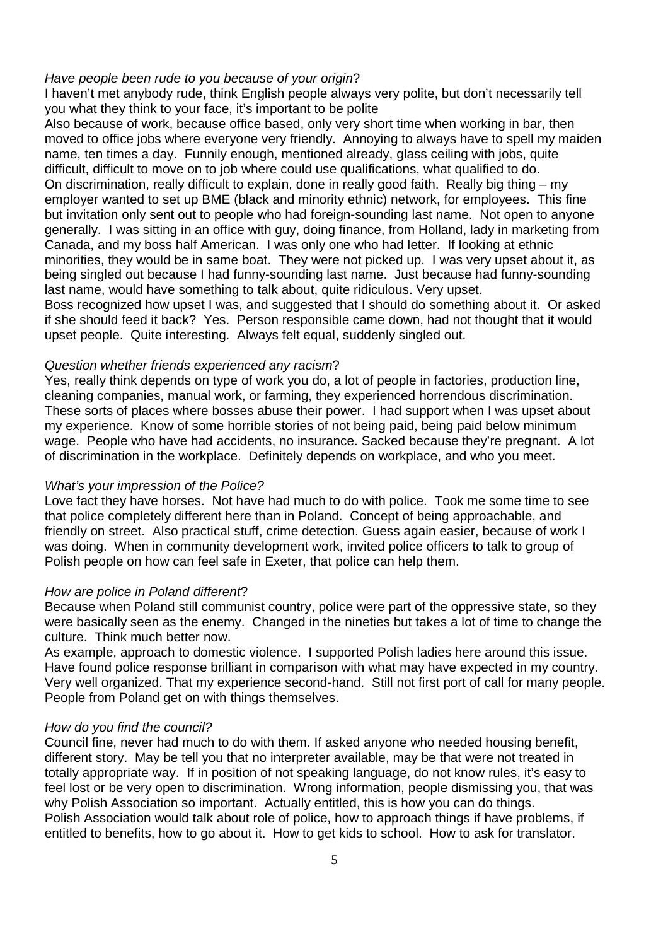#### Have people been rude to you because of your origin?

I haven't met anybody rude, think English people always very polite, but don't necessarily tell you what they think to your face, it's important to be polite

 Also because of work, because office based, only very short time when working in bar, then moved to office jobs where everyone very friendly. Annoying to always have to spell my maiden name, ten times a day. Funnily enough, mentioned already, glass ceiling with jobs, quite difficult, difficult to move on to job where could use qualifications, what qualified to do. On discrimination, really difficult to explain, done in really good faith. Really big thing – my employer wanted to set up BME (black and minority ethnic) network, for employees. This fine but invitation only sent out to people who had foreign-sounding last name. Not open to anyone generally. I was sitting in an office with guy, doing finance, from Holland, lady in marketing from Canada, and my boss half American. I was only one who had letter. If looking at ethnic minorities, they would be in same boat. They were not picked up. I was very upset about it, as being singled out because I had funny-sounding last name. Just because had funny-sounding last name, would have something to talk about, quite ridiculous. Very upset.

Boss recognized how upset I was, and suggested that I should do something about it. Or asked if she should feed it back? Yes. Person responsible came down, had not thought that it would upset people. Quite interesting. Always felt equal, suddenly singled out.

#### Question whether friends experienced any racism?

Yes, really think depends on type of work you do, a lot of people in factories, production line, cleaning companies, manual work, or farming, they experienced horrendous discrimination. These sorts of places where bosses abuse their power. I had support when I was upset about my experience. Know of some horrible stories of not being paid, being paid below minimum wage. People who have had accidents, no insurance. Sacked because they're pregnant. A lot of discrimination in the workplace. Definitely depends on workplace, and who you meet.

#### What's your impression of the Police?

Love fact they have horses. Not have had much to do with police. Took me some time to see that police completely different here than in Poland. Concept of being approachable, and friendly on street. Also practical stuff, crime detection. Guess again easier, because of work I was doing. When in community development work, invited police officers to talk to group of Polish people on how can feel safe in Exeter, that police can help them.

#### How are police in Poland different?

Because when Poland still communist country, police were part of the oppressive state, so they were basically seen as the enemy. Changed in the nineties but takes a lot of time to change the culture. Think much better now.

 As example, approach to domestic violence. I supported Polish ladies here around this issue. Have found police response brilliant in comparison with what may have expected in my country. Very well organized. That my experience second-hand. Still not first port of call for many people. People from Poland get on with things themselves.

#### How do you find the council?

Council fine, never had much to do with them. If asked anyone who needed housing benefit, different story. May be tell you that no interpreter available, may be that were not treated in totally appropriate way. If in position of not speaking language, do not know rules, it's easy to feel lost or be very open to discrimination. Wrong information, people dismissing you, that was why Polish Association so important. Actually entitled, this is how you can do things. Polish Association would talk about role of police, how to approach things if have problems, if entitled to benefits, how to go about it. How to get kids to school. How to ask for translator.